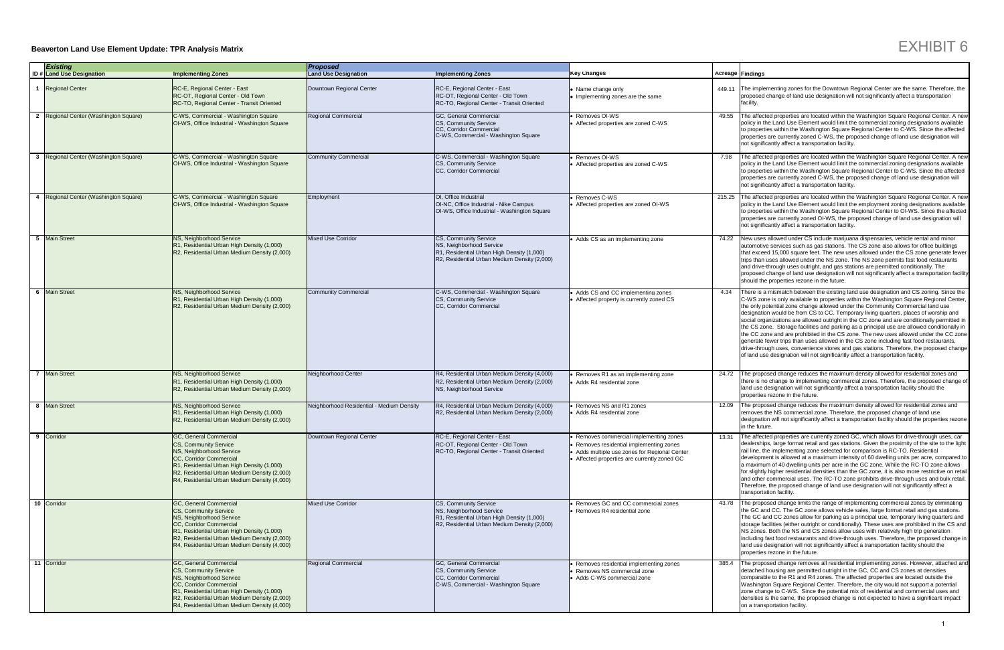## **Beaverton Land Use Element Update: TPR Analysis Matrix**

The proposed change removes all residential implementing zones. However, attached and detached housing are permitted outright in the GC, CC and CS zones at densities comparable to the R1 and R4 zones. The affected properties are located outside the Washington Square Regional Center. Therefore, the city would not support a potential zone change to C-WS. Since the potential mix of residential and commercial uses and densities is the same, the proposed change is not expected to have a significant impact on a transportation facility.

|   | <b>Existing</b>                       |                                                                                                                                                                                                                                                             | <b>Proposed</b>                           |                                                                                                                                                 |                                                                                                                                                                                      |        |                                                                                                                                  |
|---|---------------------------------------|-------------------------------------------------------------------------------------------------------------------------------------------------------------------------------------------------------------------------------------------------------------|-------------------------------------------|-------------------------------------------------------------------------------------------------------------------------------------------------|--------------------------------------------------------------------------------------------------------------------------------------------------------------------------------------|--------|----------------------------------------------------------------------------------------------------------------------------------|
|   | <b>ID # Land Use Designation</b>      | <b>Implementing Zones</b>                                                                                                                                                                                                                                   | <b>Land Use Designation</b>               | <b>Implementing Zones</b>                                                                                                                       | <b>Key Changes</b>                                                                                                                                                                   |        | <b>Acreage Findings</b>                                                                                                          |
|   | 1 Regional Center                     | RC-E, Regional Center - East<br>RC-OT, Regional Center - Old Town<br>RC-TO, Regional Center - Transit Oriented                                                                                                                                              | Downtown Regional Center                  | RC-E, Regional Center - East<br>RC-OT, Regional Center - Old Town<br>RC-TO, Regional Center - Transit Oriented                                  | • Name change only<br>• Implementing zones are the same                                                                                                                              | 449.11 | The imple<br>proposed<br>facility.                                                                                               |
|   | 2 Regional Center (Washington Square) | C-WS, Commercial - Washington Square<br>OI-WS, Office Industrial - Washington Square                                                                                                                                                                        | <b>Regional Commercial</b>                | GC, General Commercial<br>CS. Community Service<br>CC. Corridor Commercial<br>C-WS, Commercial - Washington Square                              | • Removes OI-WS<br>• Affected properties are zoned C-WS                                                                                                                              | 49.55  | The affec<br>policy in t<br>to proper<br>properties<br>not signif                                                                |
| 3 | Regional Center (Washington Square)   | C-WS, Commercial - Washington Square<br>OI-WS, Office Industrial - Washington Square                                                                                                                                                                        | <b>Community Commercial</b>               | C-WS, Commercial - Washington Square<br>CS, Community Service<br>CC, Corridor Commercial                                                        | · Removes OI-WS<br>• Affected properties are zoned C-WS                                                                                                                              | 7.98   | The affec<br>policy in t<br>to proper<br>properties<br>not signif                                                                |
| 4 | Regional Center (Washington Square)   | C-WS, Commercial - Washington Square<br>OI-WS, Office Industrial - Washington Square                                                                                                                                                                        | Employment                                | OI, Office Industrial<br>OI-NC, Office Industrial - Nike Campus<br>OI-WS, Office Industrial - Washington Square                                 | • Removes C-WS<br>• Affected properties are zoned OI-WS                                                                                                                              | 215.25 | The affed<br>policy in t<br>to proper<br>properties<br>not signif                                                                |
| 5 | <b>Main Street</b>                    | NS, Neighborhood Service<br>R1, Residential Urban High Density (1,000)<br>R2, Residential Urban Medium Density (2,000)                                                                                                                                      | <b>Mixed Use Corridor</b>                 | CS, Community Service<br>NS, Neighborhood Service<br>R1, Residential Urban High Density (1,000)<br>R2, Residential Urban Medium Density (2,000) | • Adds CS as an implementing zone                                                                                                                                                    | 74.22  | New uses<br>automotiv<br>that exce<br>trips than<br>and drive<br>proposed<br>should th                                           |
|   | <b>6</b> Main Street                  | NS, Neighborhood Service<br>R1, Residential Urban High Density (1,000)<br>R2, Residential Urban Medium Density (2,000)                                                                                                                                      | <b>Community Commercial</b>               | C-WS, Commercial - Washington Square<br>CS, Community Service<br>CC, Corridor Commercial                                                        | • Adds CS and CC implementing zones<br>• Affected property is currently zoned CS                                                                                                     | 4.34   | There is a<br>C-WS zo<br>the only p<br>designati<br>social org<br>the CS zo<br>the CC zo<br>generate<br>drive-thrc<br>of land us |
|   | 7 Main Street                         | NS, Neighborhood Service<br>R1, Residential Urban High Density (1,000)<br>R2, Residential Urban Medium Density (2,000)                                                                                                                                      | Neighborhood Center                       | R4, Residential Urban Medium Density (4,000)<br>R2, Residential Urban Medium Density (2,000)<br>NS, Neighborhood Service                        | • Removes R1 as an implementing zone<br>• Adds R4 residential zone                                                                                                                   | 24.72  | The prop<br>there is n<br>land use<br>properties                                                                                 |
|   | 8 Main Street                         | NS, Neighborhood Service<br>R1, Residential Urban High Density (1,000)<br>R2, Residential Urban Medium Density (2,000)                                                                                                                                      | Neighborhood Residential - Medium Density | R4, Residential Urban Medium Density (4,000)<br>R2, Residential Urban Medium Density (2,000)                                                    | • Removes NS and R1 zones<br>• Adds R4 residential zone                                                                                                                              | 12.09  | The prop<br>removes<br>designati<br>in the fut                                                                                   |
| 9 | Corridor                              | GC, General Commercial<br><b>CS, Community Service</b><br>NS, Neighborhood Service<br>CC, Corridor Commercial<br>R1, Residential Urban High Density (1,000)<br>R2, Residential Urban Medium Density (2,000)<br>R4, Residential Urban Medium Density (4,000) | Downtown Regional Center                  | RC-E, Regional Center - East<br>RC-OT, Regional Center - Old Town<br>RC-TO, Regional Center - Transit Oriented                                  | • Removes commercial implementing zones<br>• Removes residential implementing zones<br>• Adds multiple use zones for Regional Center<br>• Affected properties are currently zoned GC | 13.31  | The affec<br>dealershi<br>rail line, t<br>developm<br>a maximu<br>for slightl<br>and other<br>Therefore<br>transporta            |
|   | 10 Corridor                           | GC, General Commercial<br><b>CS, Community Service</b><br>NS, Neighborhood Service<br>CC, Corridor Commercial<br>R1, Residential Urban High Density (1,000)<br>R2, Residential Urban Medium Density (2,000)<br>R4, Residential Urban Medium Density (4,000) | <b>Mixed Use Corridor</b>                 | CS, Community Service<br>NS, Neighborhood Service<br>R1, Residential Urban High Density (1,000)<br>R2, Residential Urban Medium Density (2,000) | • Removes GC and CC commercial zones<br>• Removes R4 residential zone                                                                                                                | 43.78  | The prop<br>the GC a<br>The GC a<br>storage fa<br>NS zones<br>including<br>land use<br>properties                                |
|   | 11 Corridor                           | GC, General Commercial<br>CS, Community Service<br>NS, Neighborhood Service<br>CC, Corridor Commercial<br>R1, Residential Urban High Density (1,000)<br>R2, Residential Urban Medium Density (2,000)<br>R4, Residential Urban Medium Density (4,000)        | <b>Regional Commercial</b>                | GC, General Commercial<br>CS, Community Service<br>CC, Corridor Commercial<br>C-WS, Commercial - Washington Square                              | • Removes residential implementing zones<br>• Removes NS commercial zone<br>• Adds C-WS commercial zone                                                                              | 385.4  | The prop<br>detached<br>comparal<br>Washingt<br>zone cha<br>densities<br>on a trans                                              |

New uses allowed under CS include marijuana dispensaries, vehicle rental and minor automotive services such as gas stations. The CS zone also allows for office buildings that exceed 15,000 square feet. The new uses allowed under the CS zone generate fewer trips than uses allowed under the NS zone. The NS zone permits fast food restaurants and drive-through uses outright, and gas stations are permitted conditionally. The proposed change of land use designation will not significantly affect a transportation facilit should the properties rezone in the future.

The affected properties are currently zoned GC, which allows for drive-through uses, car dealerships, large format retail and gas stations. Given the proximity of the site to the light rail line, the implementing zone selected for comparison is RC-TO. Residential development is allowed at a maximum intensity of 60 dwelling units per acre, compared to a maximum of 40 dwelling units per acre in the GC zone. While the RC-TO zone allows for slightly higher residential densities than the GC zone, it is also more restrictive on retail and other commercial uses. The RC-TO zone prohibits drive-through uses and bulk retail. Therefore, the proposed change of land use designation will not significantly affect a transportation facility.

There is a mismatch between the existing land use designation and CS zoning. Since the C-WS zone is only available to properties within the Washington Square Regional Center, the only potential zone change allowed under the Community Commercial land use designation would be from CS to CC. Temporary living quarters, places of worship and social organizations are allowed outright in the CC zone and are conditionally permitted in the CS zone. Storage facilities and parking as a principal use are allowed conditionally in the CC zone and are prohibited in the CS zone. The new uses allowed under the CC zone denerate fewer trips than uses allowed in the CS zone including fast food restaurants, drive-through uses, convenience stores and gas stations. Therefore, the proposed change of land use designation will not significantly affect a transportation facility.

The proposed change limits the range of implementing commercial zones by eliminating the GC and CC. The GC zone allows vehicle sales, large format retail and gas stations. The GC and CC zones allow for parking as a principal use, temporary living quarters and storage facilities (either outright or conditionally). These uses are prohibited in the CS and NS zones. Both the NS and CS zones allow uses with relatively high trip generation including fast food restaurants and drive-through uses. Therefore, the proposed change in land use designation will not significantly affect a transportation facility should the properties rezone in the future.

The proposed change reduces the maximum density allowed for residential zones and removes the NS commercial zone. Therefore, the proposed change of land use designation will not significantly affect a transportation facility should the properties rezone in the future.

The implementing zones for the Downtown Regional Center are the same. Therefore, the proposed change of land use designation will not significantly affect a transportation facility.

The affected properties are located within the Washington Square Regional Center. A new policy in the Land Use Element would limit the commercial zoning designations available to properties within the Washington Square Regional Center to C-WS. Since the affected properties are currently zoned C-WS, the proposed change of land use designation will not significantly affect a transportation facility.

The affected properties are located within the Washington Square Regional Center. A new policy in the Land Use Element would limit the commercial zoning designations available to properties within the Washington Square Regional Center to C-WS. Since the affected properties are currently zoned C-WS, the proposed change of land use designation will not significantly affect a transportation facility.

The affected properties are located within the Washington Square Regional Center. A new policy in the Land Use Element would limit the employment zoning designations available to properties within the Washington Square Regional Center to OI-WS. Since the affected properties are currently zoned OI-WS, the proposed change of land use designation will not significantly affect a transportation facility.

The proposed change reduces the maximum density allowed for residential zones and there is no change to implementing commercial zones. Therefore, the proposed change o land use designation will not significantly affect a transportation facility should the properties rezone in the future.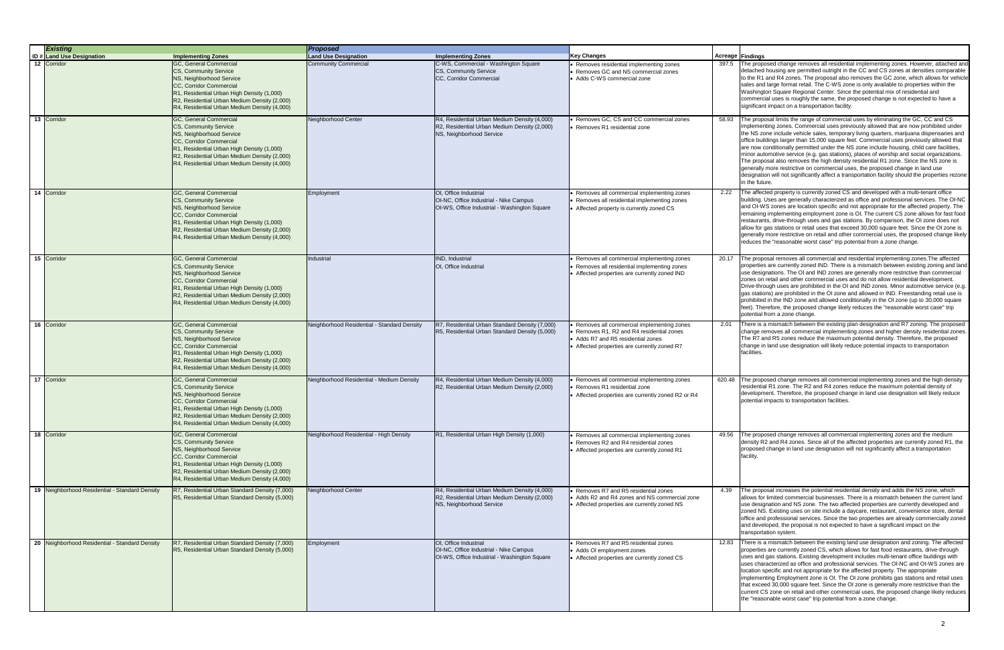The proposed change removes all residential implementing zones. However, attached and detached housing are permitted outright in the CC and CS zones at densities comparable to the R1 and R4 zones. The proposal also removes the GC zone, which allows for vehicle sales and large format retail. The C-WS zone is only available to properties within the Washington Square Regional Center. Since the potential mix of residential and commercial uses is roughly the same, the proposed change is not expected to have a significant impact on a transportation facility.

There is a mismatch between the existing land use designation and zoning. The affected properties are currently zoned CS, which allows for fast food restaurants, drive-through uses and gas stations. Existing development includes multi-tenant office buildings with uses characterized as office and professional services. The OI-NC and OI-WS zones are location specific and not appropriate for the affected property. The appropriate implementing Employment zone is OI. The OI zone prohibits gas stations and retail uses that exceed 30,000 square feet. Since the OI zone is generally more restrictive than the current CS zone on retail and other commercial uses, the proposed change likely reduces the "reasonable worst case" trip potential from a zone change.

| <b>Existing</b> |                                                |                                                                                                                                                                                                                                                      | <b>Proposed</b>                             |                                                                                                                          |                                                                                                                                                                            |        |                                                                                                                             |
|-----------------|------------------------------------------------|------------------------------------------------------------------------------------------------------------------------------------------------------------------------------------------------------------------------------------------------------|---------------------------------------------|--------------------------------------------------------------------------------------------------------------------------|----------------------------------------------------------------------------------------------------------------------------------------------------------------------------|--------|-----------------------------------------------------------------------------------------------------------------------------|
|                 | <b>ID # Land Use Designation</b>               | <b>Implementing Zones</b>                                                                                                                                                                                                                            | <b>Land Use Designation</b>                 | <b>Implementing Zones</b>                                                                                                | <b>Key Changes</b>                                                                                                                                                         |        | Acreage Findings                                                                                                            |
|                 | 12 Corridor                                    | GC, General Commercial<br>CS, Community Service<br>NS, Neighborhood Service<br>CC, Corridor Commercial<br>R1, Residential Urban High Density (1,000)<br>R2, Residential Urban Medium Density (2,000)<br>R4, Residential Urban Medium Density (4,000) | <b>Community Commercial</b>                 | C-WS, Commercial - Washington Square<br>CS, Community Service<br>CC, Corridor Commercial                                 | Removes residential implementing zones<br>Removes GC and NS commercial zones<br>• Adds C-WS commercial zone                                                                | 397.5  | The prop<br>detached<br>to the R1<br>sales and<br>Washingt<br>commerc<br>significar                                         |
|                 | 13 Corridor                                    | GC, General Commercial<br>CS, Community Service<br>NS, Neighborhood Service<br>CC, Corridor Commercial<br>R1, Residential Urban High Density (1,000)<br>R2, Residential Urban Medium Density (2,000)<br>R4, Residential Urban Medium Density (4,000) | Neighborhood Center                         | R4, Residential Urban Medium Density (4,000)<br>R2, Residential Urban Medium Density (2,000)<br>NS, Neighborhood Service | Removes GC, CS and CC commercial zones<br>• Removes R1 residential zone                                                                                                    | 58.93  | The prop<br>implemer<br>the NS zo<br>office bui<br>are now<br>minor aut<br>The prop<br>generally<br>designati<br>in the fut |
|                 | 14 Corridor                                    | GC, General Commercial<br>CS, Community Service<br>NS, Neighborhood Service<br>CC, Corridor Commercial<br>R1, Residential Urban High Density (1,000)<br>R2, Residential Urban Medium Density (2,000)<br>R4, Residential Urban Medium Density (4,000) | Employment                                  | OI, Office Industrial<br>OI-NC, Office Industrial - Nike Campus<br>OI-WS, Office Industrial - Washington Square          | Removes all commercial implementing zones<br>Removes all residential implementing zones<br>• Affected property is currently zoned CS                                       | 2.22   | The affed<br>building.<br>and OI-W<br>remaining<br>restaurar<br>allow for<br>generally<br>reduces 1                         |
|                 | 15 Corridor                                    | GC, General Commercial<br>CS, Community Service<br>NS, Neighborhood Service<br>CC, Corridor Commercial<br>R1, Residential Urban High Density (1,000)<br>R2, Residential Urban Medium Density (2,000)<br>R4, Residential Urban Medium Density (4,000) | Industrial                                  | IND, Industrial<br>OI, Office Industrial                                                                                 | Removes all commercial implementing zones<br>Removes all residential implementing zones<br>Affected properties are currently zoned IND                                     | 20.17  | The prop<br>propertie<br>use desid<br>zones on<br>Drive-thro<br>gas statio<br>prohibite<br>feet). The<br>potential          |
|                 | 16 Corridor                                    | GC, General Commercial<br>CS, Community Service<br>NS, Neighborhood Service<br>CC, Corridor Commercial<br>R1, Residential Urban High Density (1,000)<br>R2, Residential Urban Medium Density (2,000)<br>R4, Residential Urban Medium Density (4,000) | Neighborhood Residential - Standard Density | R7, Residential Urban Standard Density (7,000)<br>R5, Residential Urban Standard Density (5,000)                         | Removes all commercial implementing zones<br>Removes R1, R2 and R4 residential zones<br>• Adds R7 and R5 residential zones<br>• Affected properties are currently zoned R7 | 2.01   | There is:<br>change re<br>The R7 a<br>change in<br>facilities.                                                              |
|                 | 17 Corridor                                    | GC, General Commercial<br>CS, Community Service<br>NS. Neighborhood Service<br>CC, Corridor Commercial<br>R1, Residential Urban High Density (1,000)<br>R2, Residential Urban Medium Density (2,000)<br>R4, Residential Urban Medium Density (4,000) | Neighborhood Residential - Medium Density   | R4, Residential Urban Medium Density (4,000)<br>R2, Residential Urban Medium Density (2,000)                             | Removes all commercial implementing zones<br>Removes R1 residential zone<br>Affected properties are currently zoned R2 or R4                                               | 620.48 | The prop<br>residentia<br>developn<br>potential                                                                             |
|                 | 18 Corridor                                    | GC, General Commercial<br>CS, Community Service<br>NS, Neighborhood Service<br>CC, Corridor Commercial<br>R1, Residential Urban High Density (1,000)<br>R2, Residential Urban Medium Density (2,000)<br>R4, Residential Urban Medium Density (4,000) | Neighborhood Residential - High Density     | R1, Residential Urban High Density (1,000)                                                                               | Removes all commercial implementing zones<br>• Removes R2 and R4 residential zones<br>• Affected properties are currently zoned R1                                         | 49.56  | The prop<br>density R<br>proposec<br>facility.                                                                              |
|                 | 19 Neighborhood Residential - Standard Density | R7, Residential Urban Standard Density (7,000)<br>R5, Residential Urban Standard Density (5,000)                                                                                                                                                     | Neighborhood Center                         | R4, Residential Urban Medium Density (4,000)<br>R2, Residential Urban Medium Density (2,000)<br>NS, Neighborhood Service | Removes R7 and R5 residential zones<br>Adds R2 and R4 zones and NS commercial zone<br>• Affected properties are currently zoned NS                                         | 4.39   | The prop<br>allows for<br>use desid<br>zoned NS<br>office and<br>and deve<br>transport                                      |
|                 | 20 Neighborhood Residential - Standard Density | R7, Residential Urban Standard Density (7,000)<br>R5, Residential Urban Standard Density (5,000)                                                                                                                                                     | Employment                                  | OI, Office Industrial<br>OI-NC, Office Industrial - Nike Campus<br>OI-WS, Office Industrial - Washington Square          | Removes R7 and R5 residential zones<br>• Adds OI employment zones<br>• Affected properties are currently zoned CS                                                          | 12.83  | There is<br>propertie<br>uses and<br>uses cha<br>location s<br>implemer<br>that exce<br>current C<br>the "reas              |

The proposal limits the range of commercial uses by eliminating the GC, CC and CS implementing zones. Commercial uses previously allowed that are now prohibited under the NS zone include vehicle sales, temporary living quarters, marijuana dispensaries and office buildings larger than 15,000 square feet. Commercial uses previously allowed that are now conditionally permitted under the NS zone include housing, child care facilities, minor automotive service (e.g. gas stations), places of worship and social organizations. The proposal also removes the high density residential R1 zone. Since the NS zone is generally more restrictive on commercial uses, the proposed change in land use designation will not significantly affect a transportation facility should the properties rezone in the future.

The proposal removes all commercial and residential implementing zones.The affected properties are currently zoned IND. There is a mismatch between existing zoning and land use designations. The OI and IND zones are generally more restrictive than commercial zones on retail and other commercial uses and do not allow residential development. Drive-through uses are prohibited in the OI and IND zones. Minor automotive service (e.g. gas stations) are prohibited in the OI zone and allowed in IND. Freestanding retail use is prohibited in the IND zone and allowed conditionally in the OI zone (up to 30,000 square feet). Therefore, the proposed change likely reduces the "reasonable worst case" trip potential from a zone change.

The proposal increases the potential residential density and adds the NS zone, which allows for limited commercial businesses. There is a mismatch between the current land use designation and NS zone. The two affected properties are currently developed and zoned NS. Existing uses on site include a daycare, restaurant, convenience store, dental office and professional services. Since the two properties are already commercially zoned and developed, the proposal is not expected to have a significant impact on the transportation system.

There is a mismatch between the existing plan designation and R7 zoning. The proposed change removes all commercial implementing zones and higher density residential zones. The R7 and R5 zones reduce the maximum potential density. Therefore, the proposed change in land use designation will likely reduce potential impacts to transportation facilities.

The proposed change removes all commercial implementing zones and the high density residential R1 zone. The R2 and R4 zones reduce the maximum potential density of development. Therefore, the proposed change in land use designation will likely reduce potential impacts to transportation facilities.

The proposed change removes all commercial implementing zones and the medium density R2 and R4 zones. Since all of the affected properties are currently zoned R1, the proposed change in land use designation will not significantly affect a transportation facility.

The affected property is currently zoned CS and developed with a multi-tenant office building. Uses are generally characterized as office and professional services. The OI-NC and OI-WS zones are location specific and not appropriate for the affected property. The remaining implementing employment zone is OI. The current CS zone allows for fast food restaurants, drive-through uses and gas stations. By comparison, the OI zone does not allow for gas stations or retail uses that exceed 30,000 square feet. Since the OI zone is generally more restrictive on retail and other commercial uses, the proposed change likely reduces the "reasonable worst case" trip potential from a zone change.